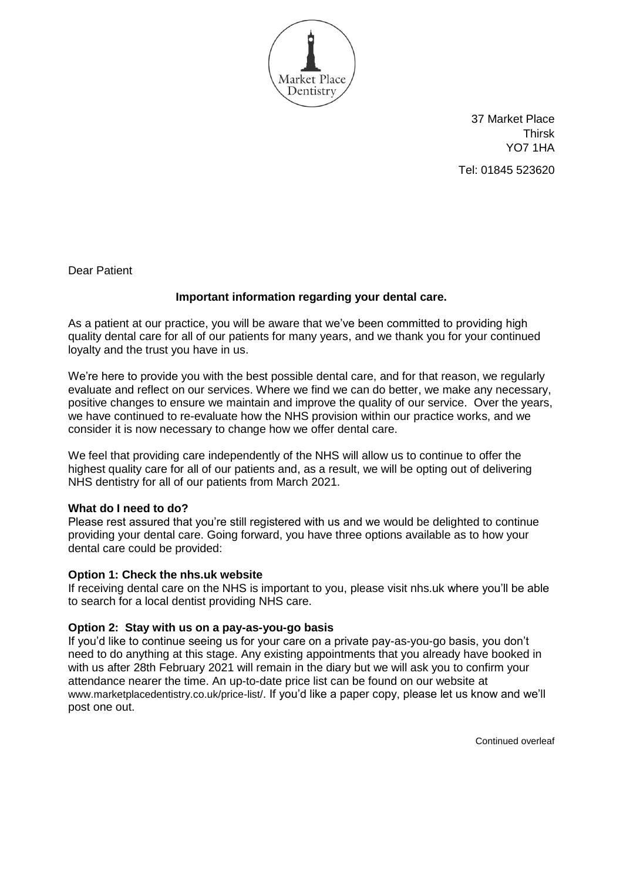

37 Market Place **Thirsk** YO7 1HA Tel: 01845 523620

Dear Patient

## **Important information regarding your dental care.**

As a patient at our practice, you will be aware that we've been committed to providing high quality dental care for all of our patients for many years, and we thank you for your continued loyalty and the trust you have in us.

We're here to provide you with the best possible dental care, and for that reason, we regularly evaluate and reflect on our services. Where we find we can do better, we make any necessary, positive changes to ensure we maintain and improve the quality of our service. Over the years, we have continued to re-evaluate how the NHS provision within our practice works, and we consider it is now necessary to change how we offer dental care.

We feel that providing care independently of the NHS will allow us to continue to offer the highest quality care for all of our patients and, as a result, we will be opting out of delivering NHS dentistry for all of our patients from March 2021.

## **What do I need to do?**

Please rest assured that you're still registered with us and we would be delighted to continue providing your dental care. Going forward, you have three options available as to how your dental care could be provided:

## **Option 1: Check the nhs.uk website**

If receiving dental care on the NHS is important to you, please visit nhs.uk where you'll be able to search for a local dentist providing NHS care.

## **Option 2: Stay with us on a pay-as-you-go basis**

If you'd like to continue seeing us for your care on a private pay-as-you-go basis, you don't need to do anything at this stage. Any existing appointments that you already have booked in with us after 28th February 2021 will remain in the diary but we will ask you to confirm your attendance nearer the time. An up-to-date price list can be found on our website at www.marketplacedentistry.co.uk/price-list/. If you'd like a paper copy, please let us know and we'll post one out.

Continued overleaf